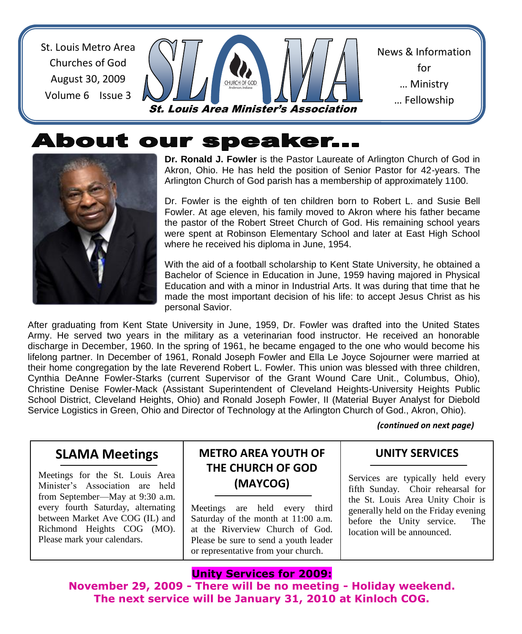St. Louis Metro Area Churches of God August 30, 2009 Volume 6 Issue 3

News & Information for … Ministry … Fellowship <u>… Sharing Shari</u> St. Louis Area Minister's Association

# **About our speaker...**



**Dr. Ronald J. Fowler** is the Pastor Laureate of Arlington Church of God in Akron, Ohio. He has held the position of Senior Pastor for 42-years. The Arlington Church of God parish has a membership of approximately 1100.

Dr. Fowler is the eighth of ten children born to Robert L. and Susie Bell Fowler. At age eleven, his family moved to Akron where his father became the pastor of the Robert Street Church of God. His remaining school years were spent at Robinson Elementary School and later at East High School where he received his diploma in June, 1954.

With the aid of a football scholarship to Kent State University, he obtained a Bachelor of Science in Education in June, 1959 having majored in Physical Education and with a minor in Industrial Arts. It was during that time that he made the most important decision of his life: to accept Jesus Christ as his personal Savior.

After graduating from Kent State University in June, 1959, Dr. Fowler was drafted into the United States Army. He served two years in the military as a veterinarian food instructor. He received an honorable discharge in December, 1960. In the spring of 1961, he became engaged to the one who would become his lifelong partner. In December of 1961, Ronald Joseph Fowler and Ella Le Joyce Sojourner were married at their home congregation by the late Reverend Robert L. Fowler. This union was blessed with three children, Cynthia DeAnne Fowler-Starks (current Supervisor of the Grant Wound Care Unit., Columbus, Ohio), Christine Denise Fowler-Mack (Assistant Superintendent of Cleveland Heights-University Heights Public School District, Cleveland Heights, Ohio) and Ronald Joseph Fowler, II (Material Buyer Analyst for Diebold Service Logistics in Green, Ohio and Director of Technology at the Arlington Church of God., Akron, Ohio).

*(continued on next page)*

#### **SLAMA Meetings**

Meetings for the St. Louis Area Minister's Association are held from September—May at 9:30 a.m. every fourth Saturday, alternating between Market Ave COG (IL) and Richmond Heights COG (MO). Please mark your calendars.

#### **METRO AREA YOUTH OF THE CHURCH OF GOD (MAYCOG)**

Meetings are held every third Saturday of the month at 11:00 a.m. at the Riverview Church of God. Please be sure to send a youth leader or representative from your church.

#### **UNITY SERVICES**

Services are typically held every fifth Sunday. Choir rehearsal for the St. Louis Area Unity Choir is generally held on the Friday evening before the Unity service. The location will be announced.

#### **Unity Services for 2009:**

**November 29, 2009 - There will be no meeting - Holiday weekend. The next service will be January 31, 2010 at Kinloch COG.**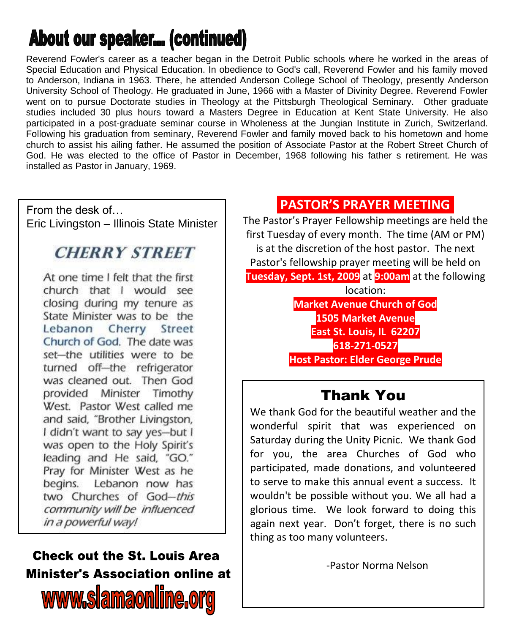# About our speaker... (continued)

Reverend Fowler's career as a teacher began in the Detroit Public schools where he worked in the areas of Special Education and Physical Education. In obedience to God's call, Reverend Fowler and his family moved to Anderson, Indiana in 1963. There, he attended Anderson College School of Theology, presently Anderson University School of Theology. He graduated in June, 1966 with a Master of Divinity Degree. Reverend Fowler went on to pursue Doctorate studies in Theology at the Pittsburgh Theological Seminary. Other graduate studies included 30 plus hours toward a Masters Degree in Education at Kent State University. He also participated in a post-graduate seminar course in Wholeness at the Jungian Institute in Zurich, Switzerland. Following his graduation from seminary, Reverend Fowler and family moved back to his hometown and home church to assist his ailing father. He assumed the position of Associate Pastor at the Robert Street Church of God. He was elected to the office of Pastor in December, 1968 following his father s retirement. He was installed as Pastor in January, 1969.

From the desk of… Eric Livingston – Illinois State Minister

## **CHERRY STREET**

At one time I felt that the first church that I would see closing during my tenure as State Minister was to be the Lebanon Cherry Street Church of God. The date was set-the utilities were to be turned off-the refrigerator was cleaned out. Then God provided Minister Timothy West. Pastor West called me and said, "Brother Livingston, I didn't want to say yes-but I was open to the Holy Spirit's leading and He said, "GO." Pray for Minister West as he begins. Lebanon now has two Churches of God-this community will be influenced in a powerful way!

# **Check out the St. Louis Area Minister's Association online at** www.siamaonline.org

### **PASTOR'S PRAYER MEETING.**

The Pastor's Prayer Fellowship meetings are held the first Tuesday of every month. The time (AM or PM) is at the discretion of the host pastor. The next Pastor's fellowship prayer meeting will be held on **Tuesday, Sept. 1st, 2009** at **9:00am** at the following location: **Market Avenue Church of God**

**1505 Market Avenue East St. Louis, IL 62207 618-271-0527 Host Pastor: Elder George Prude**

## Thank You

We thank God for the beautiful weather and the wonderful spirit that was experienced on Saturday during the Unity Picnic. We thank God for you, the area Churches of God who participated, made donations, and volunteered to serve to make this annual event a success. It wouldn't be possible without you. We all had a glorious time. We look forward to doing this again next year. Don't forget, there is no such thing as too many volunteers.

-Pastor Norma Nelson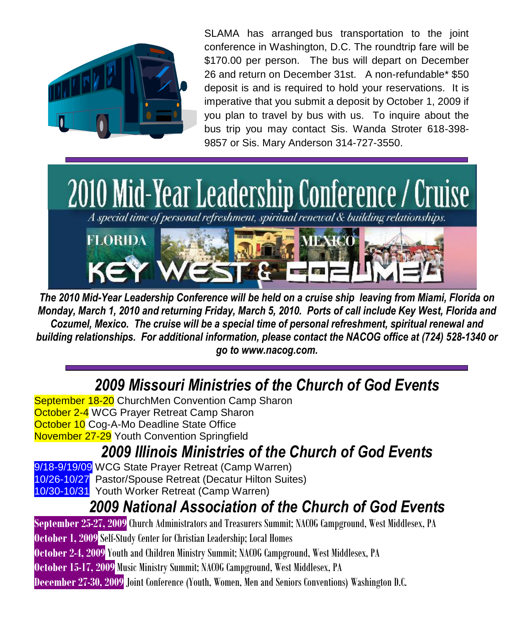

SLAMA has arranged bus transportation to the joint conference in Washington, D.C. The roundtrip fare will be \$170.00 per person. The bus will depart on December 26 and return on December 31st. A non-refundable\* \$50 deposit is and is required to hold your reservations. It is imperative that you submit a deposit by October 1, 2009 if you plan to travel by bus with us. To inquire about the bus trip you may contact Sis. Wanda Stroter 618-398- 9857 or Sis. Mary Anderson 314-727-3550.



*The 2010 Mid-Year Leadership Conference will be held on a cruise ship leaving from Miami, Florida on Monday, March 1, 2010 and returning Friday, March 5, 2010. Ports of call include Key West, Florida and Cozumel, Mexico. The cruise will be a special time of personal refreshment, spiritual renewal and building relationships. For additional information, please contact the NACOG office at (724) 528-1340 or go to www.nacog.com.*

*2009 Missouri Ministries of the Church of God Events*

September 18-20 ChurchMen Convention Camp Sharon October 2-4 WCG Prayer Retreat Camp Sharon October 10 Cog-A-Mo Deadline State Office November 27-29 Youth Convention Springfield

# *2009 Illinois Ministries of the Church of God Events*

9/18-9/19/09 WCG State Prayer Retreat (Camp Warren)

10/26-10/27 Pastor/Spouse Retreat (Decatur Hilton Suites)

10/30-10/31 Youth Worker Retreat (Camp Warren)

## *2009 National Association of the Church of God Events*

**September 25-27, 2009** Church Administrators and Treasurers Summit; NACOG Campground, West Middlesex, PA **October 1, 2009** Self-Study Center for Christian Leadership; Local Homes **October 2-4, 2009**Youth and Children Ministry Summit; NACOG Campground, West Middlesex, PA **October 15-17, 2009** Music Ministry Summit; NACOG Campground, West Middlesex, PA **December 27-30, 2009**Joint Conference (Youth, Women, Men and Seniors Conventions) Washington D.C.